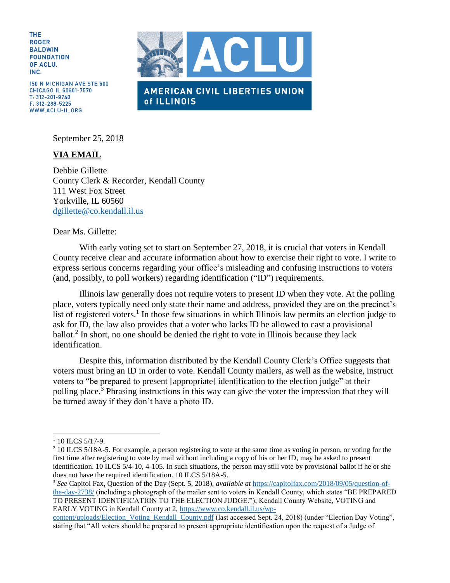**THE ROGER BALDWIN FOUNDATION** OF ACLU. INC.

150 N MICHIGAN AVE STE 600 CHICAGO IL 60601-7570 T: 312-201-9740 F: 312-288-5225 WWW.ACLU-IL.ORG



September 25, 2018

## **VIA EMAIL**

Debbie Gillette County Clerk & Recorder, Kendall County 111 West Fox Street Yorkville, IL 60560 [dgillette@co.kendall.il.us](mailto:dgillette@co.kendall.il.us)

## Dear Ms. Gillette:

With early voting set to start on September 27, 2018, it is crucial that voters in Kendall County receive clear and accurate information about how to exercise their right to vote. I write to express serious concerns regarding your office's misleading and confusing instructions to voters (and, possibly, to poll workers) regarding identification ("ID") requirements.

Illinois law generally does not require voters to present ID when they vote. At the polling place, voters typically need only state their name and address, provided they are on the precinct's list of registered voters.<sup>1</sup> In those few situations in which Illinois law permits an election judge to ask for ID, the law also provides that a voter who lacks ID be allowed to cast a provisional ballot.<sup>2</sup> In short, no one should be denied the right to vote in Illinois because they lack identification.

Despite this, information distributed by the Kendall County Clerk's Office suggests that voters must bring an ID in order to vote. Kendall County mailers, as well as the website, instruct voters to "be prepared to present [appropriate] identification to the election judge" at their polling place.<sup>3</sup> Phrasing instructions in this way can give the voter the impression that they will be turned away if they don't have a photo ID.

l

<sup>&</sup>lt;sup>1</sup> 10 ILCS 5/17-9.

<sup>&</sup>lt;sup>2</sup> 10 ILCS 5/18A-5. For example, a person registering to vote at the same time as voting in person, or voting for the first time after registering to vote by mail without including a copy of his or her ID, may be asked to present identification. 10 ILCS 5/4-10, 4-105. In such situations, the person may still vote by provisional ballot if he or she does not have the required identification. 10 ILCS 5/18A-5.

<sup>3</sup> *See* Capitol Fax, Question of the Day (Sept. 5, 2018), *available at* [https://capitolfax.com/2018/09/05/question-of](https://capitolfax.com/2018/09/05/question-of-the-day-2738/)[the-day-2738/](https://capitolfax.com/2018/09/05/question-of-the-day-2738/) (including a photograph of the mailer sent to voters in Kendall County, which states "BE PREPARED TO PRESENT IDENTIFICATION TO THE ELECTION JUDGE."); Kendall County Website, VOTING and EARLY VOTING in Kendall County at 2[, https://www.co.kendall.il.us/wp-](https://www.co.kendall.il.us/wp-content/uploads/Election_Voting_Kendall_County.pdf)

[content/uploads/Election\\_Voting\\_Kendall\\_County.pdf](https://www.co.kendall.il.us/wp-content/uploads/Election_Voting_Kendall_County.pdf) (last accessed Sept. 24, 2018) (under "Election Day Voting", stating that "All voters should be prepared to present appropriate identification upon the request of a Judge of